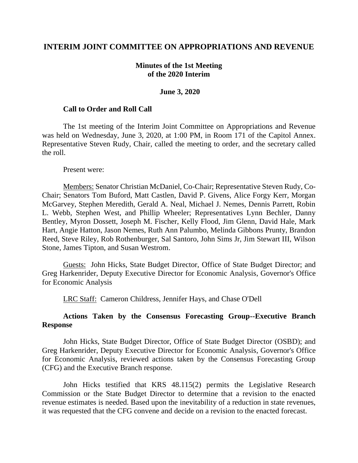## **INTERIM JOINT COMMITTEE ON APPROPRIATIONS AND REVENUE**

## **Minutes of the 1st Meeting of the 2020 Interim**

#### **June 3, 2020**

#### **Call to Order and Roll Call**

The 1st meeting of the Interim Joint Committee on Appropriations and Revenue was held on Wednesday, June 3, 2020, at 1:00 PM, in Room 171 of the Capitol Annex. Representative Steven Rudy, Chair, called the meeting to order, and the secretary called the roll.

Present were:

Members: Senator Christian McDaniel, Co-Chair; Representative Steven Rudy, Co-Chair; Senators Tom Buford, Matt Castlen, David P. Givens, Alice Forgy Kerr, Morgan McGarvey, Stephen Meredith, Gerald A. Neal, Michael J. Nemes, Dennis Parrett, Robin L. Webb, Stephen West, and Phillip Wheeler; Representatives Lynn Bechler, Danny Bentley, Myron Dossett, Joseph M. Fischer, Kelly Flood, Jim Glenn, David Hale, Mark Hart, Angie Hatton, Jason Nemes, Ruth Ann Palumbo, Melinda Gibbons Prunty, Brandon Reed, Steve Riley, Rob Rothenburger, Sal Santoro, John Sims Jr, Jim Stewart III, Wilson Stone, James Tipton, and Susan Westrom.

Guests: John Hicks, State Budget Director, Office of State Budget Director; and Greg Harkenrider, Deputy Executive Director for Economic Analysis, Governor's Office for Economic Analysis

LRC Staff: Cameron Childress, Jennifer Hays, and Chase O'Dell

## **Actions Taken by the Consensus Forecasting Group--Executive Branch Response**

John Hicks, State Budget Director, Office of State Budget Director (OSBD); and Greg Harkenrider, Deputy Executive Director for Economic Analysis, Governor's Office for Economic Analysis, reviewed actions taken by the Consensus Forecasting Group (CFG) and the Executive Branch response.

John Hicks testified that KRS 48.115(2) permits the Legislative Research Commission or the State Budget Director to determine that a revision to the enacted revenue estimates is needed. Based upon the inevitability of a reduction in state revenues, it was requested that the CFG convene and decide on a revision to the enacted forecast.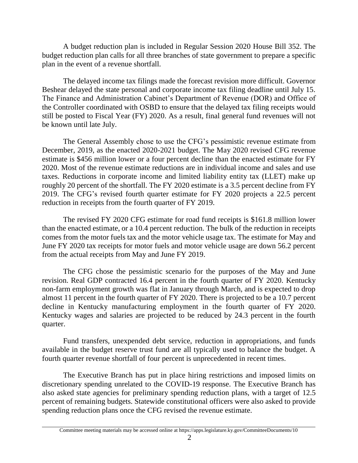A budget reduction plan is included in Regular Session 2020 House Bill 352. The budget reduction plan calls for all three branches of state government to prepare a specific plan in the event of a revenue shortfall.

The delayed income tax filings made the forecast revision more difficult. Governor Beshear delayed the state personal and corporate income tax filing deadline until July 15. The Finance and Administration Cabinet's Department of Revenue (DOR) and Office of the Controller coordinated with OSBD to ensure that the delayed tax filing receipts would still be posted to Fiscal Year (FY) 2020. As a result, final general fund revenues will not be known until late July.

The General Assembly chose to use the CFG's pessimistic revenue estimate from December, 2019, as the enacted 2020-2021 budget. The May 2020 revised CFG revenue estimate is \$456 million lower or a four percent decline than the enacted estimate for FY 2020. Most of the revenue estimate reductions are in individual income and sales and use taxes. Reductions in corporate income and limited liability entity tax (LLET) make up roughly 20 percent of the shortfall. The FY 2020 estimate is a 3.5 percent decline from FY 2019. The CFG's revised fourth quarter estimate for FY 2020 projects a 22.5 percent reduction in receipts from the fourth quarter of FY 2019.

The revised FY 2020 CFG estimate for road fund receipts is \$161.8 million lower than the enacted estimate, or a 10.4 percent reduction. The bulk of the reduction in receipts comes from the motor fuels tax and the motor vehicle usage tax. The estimate for May and June FY 2020 tax receipts for motor fuels and motor vehicle usage are down 56.2 percent from the actual receipts from May and June FY 2019.

The CFG chose the pessimistic scenario for the purposes of the May and June revision. Real GDP contracted 16.4 percent in the fourth quarter of FY 2020. Kentucky non-farm employment growth was flat in January through March, and is expected to drop almost 11 percent in the fourth quarter of FY 2020. There is projected to be a 10.7 percent decline in Kentucky manufacturing employment in the fourth quarter of FY 2020. Kentucky wages and salaries are projected to be reduced by 24.3 percent in the fourth quarter.

Fund transfers, unexpended debt service, reduction in appropriations, and funds available in the budget reserve trust fund are all typically used to balance the budget. A fourth quarter revenue shortfall of four percent is unprecedented in recent times.

The Executive Branch has put in place hiring restrictions and imposed limits on discretionary spending unrelated to the COVID-19 response. The Executive Branch has also asked state agencies for preliminary spending reduction plans, with a target of 12.5 percent of remaining budgets. Statewide constitutional officers were also asked to provide spending reduction plans once the CFG revised the revenue estimate.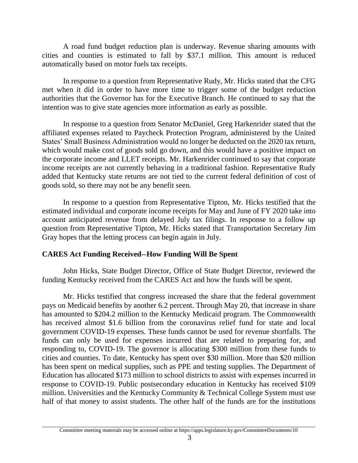A road fund budget reduction plan is underway. Revenue sharing amounts with cities and counties is estimated to fall by \$37.1 million. This amount is reduced automatically based on motor fuels tax receipts.

In response to a question from Representative Rudy, Mr. Hicks stated that the CFG met when it did in order to have more time to trigger some of the budget reduction authorities that the Governor has for the Executive Branch. He continued to say that the intention was to give state agencies more information as early as possible.

In response to a question from Senator McDaniel, Greg Harkenrider stated that the affiliated expenses related to Paycheck Protection Program, administered by the United States' Small Business Administration would no longer be deducted on the 2020 tax return, which would make cost of goods sold go down, and this would have a positive impact on the corporate income and LLET receipts. Mr. Harkenrider continued to say that corporate income receipts are not currently behaving in a traditional fashion. Representative Rudy added that Kentucky state returns are not tied to the current federal definition of cost of goods sold, so there may not be any benefit seen.

In response to a question from Representative Tipton, Mr. Hicks testified that the estimated individual and corporate income receipts for May and June of FY 2020 take into account anticipated revenue from delayed July tax filings. In response to a follow up question from Representative Tipton, Mr. Hicks stated that Transportation Secretary Jim Gray hopes that the letting process can begin again in July.

# **CARES Act Funding Received--How Funding Will Be Spent**

John Hicks, State Budget Director, Office of State Budget Director, reviewed the funding Kentucky received from the CARES Act and how the funds will be spent.

Mr. Hicks testified that congress increased the share that the federal government pays on Medicaid benefits by another 6.2 percent. Through May 20, that increase in share has amounted to \$204.2 million to the Kentucky Medicaid program. The Commonwealth has received almost \$1.6 billion from the coronavirus relief fund for state and local government COVID-19 expenses. These funds cannot be used for revenue shortfalls. The funds can only be used for expenses incurred that are related to preparing for, and responding to, COVID-19. The governor is allocating \$300 million from these funds to cities and counties. To date, Kentucky has spent over \$30 million. More than \$20 million has been spent on medical supplies, such as PPE and testing supplies. The Department of Education has allocated \$173 million to school districts to assist with expenses incurred in response to COVID-19. Public postsecondary education in Kentucky has received \$109 million. Universities and the Kentucky Community & Technical College System must use half of that money to assist students. The other half of the funds are for the institutions